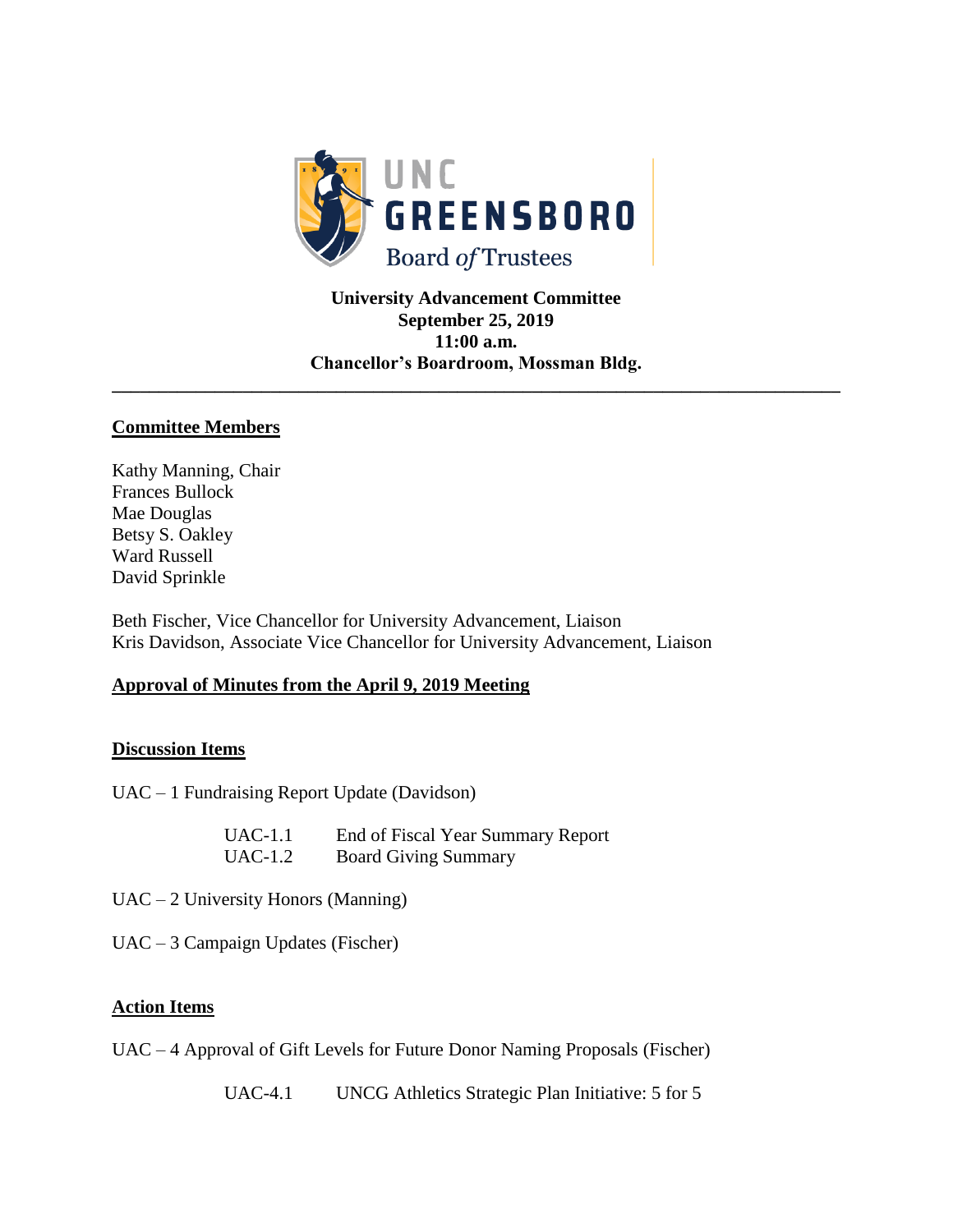

#### **University Advancement Committee September 25, 2019 11:00 a.m. Chancellor's Boardroom, Mossman Bldg.**

**\_\_\_\_\_\_\_\_\_\_\_\_\_\_\_\_\_\_\_\_\_\_\_\_\_\_\_\_\_\_\_\_\_\_\_\_\_\_\_\_\_\_\_\_\_\_\_\_\_\_\_\_\_\_\_\_\_\_\_\_\_\_\_\_\_\_\_\_\_\_\_\_\_\_\_\_\_\_**

#### **Committee Members**

Kathy Manning, Chair Frances Bullock Mae Douglas Betsy S. Oakley Ward Russell David Sprinkle

Beth Fischer, Vice Chancellor for University Advancement, Liaison Kris Davidson, Associate Vice Chancellor for University Advancement, Liaison

### **Approval of Minutes from the April 9, 2019 Meeting**

### **Discussion Items**

UAC – 1 Fundraising Report Update (Davidson)

| $UAC-1.1$ | End of Fiscal Year Summary Report |
|-----------|-----------------------------------|
| UAC-1.2   | <b>Board Giving Summary</b>       |

UAC – 2 University Honors (Manning)

UAC – 3 Campaign Updates (Fischer)

### **Action Items**

UAC – 4 Approval of Gift Levels for Future Donor Naming Proposals (Fischer)

UAC-4.1 UNCG Athletics Strategic Plan Initiative: 5 for 5